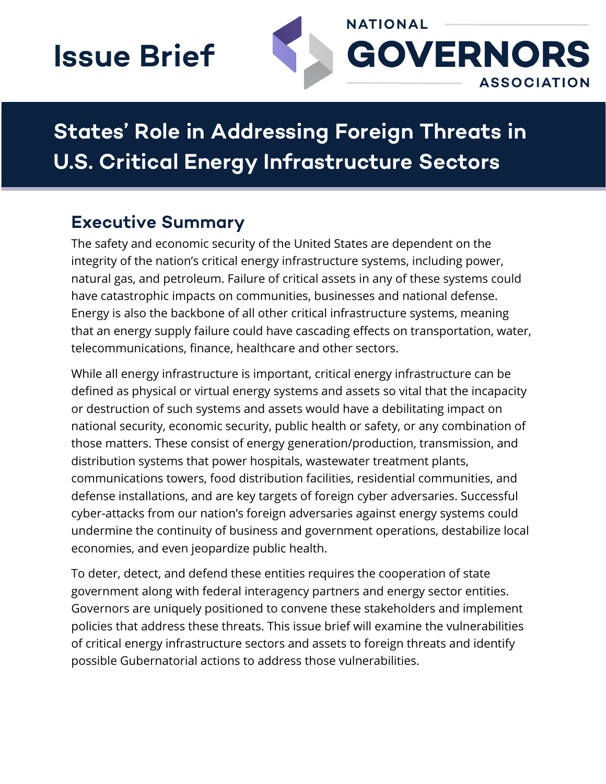# **Issue Brief**



## **States' Role in Addressing Foreign Threats in U.S. Critical Energy Infrastructure Sectors**

### **Executive Summary**

The safety and economic security of the United States are dependent on the integrity of the nation's critical energy infrastructure systems, including power, natural gas, and petroleum. Failure of critical assets in any of these systems could have catastrophic impacts on communities, businesses and national defense. Energy is also the backbone of all other critical infrastructure systems, meaning that an energy supply failure could have cascading effects on transportation, water, telecommunications, finance, healthcare and other sectors.

While all energy infrastructure is important, critical energy infrastructure can be defined as physical or virtual energy systems and assets so vital that the incapacity or destruction of such systems and assets would have a debilitating impact on national security, economic security, public health or safety, or any combination of those matters. These consist of energy generation/production, transmission, and distribution systems that power hospitals, wastewater treatment plants, communications towers, food distribution facilities, residential communities, and defense installations, and are key targets of foreign cyber adversaries. Successful cyber-attacks from our nation's foreign adversaries against energy systems could undermine the continuity of business and government operations, destabilize local economies, and even jeopardize public health.

To deter, detect, and defend these entities requires the cooperation of state government along with federal interagency partners and energy sector entities. Governors are uniquely positioned to convene these stakeholders and implement policies that address these threats. This issue brief will examine the vulnerabilities of critical energy infrastructure sectors and assets to foreign threats and identify possible Gubernatorial actions to address those vulnerabilities.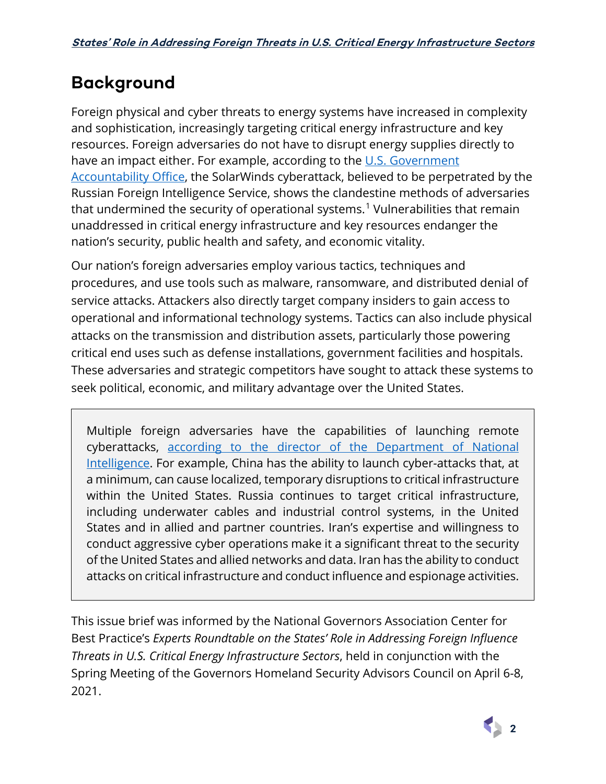## **Background**

Foreign physical and cyber threats to energy systems have increased in complexity and sophistication, increasingly targeting critical energy infrastructure and key resources. Foreign adversaries do not have to disrupt energy supplies directly to have an impact either. For example, according to the U.S. Government [Accountability Office,](https://www.gao.gov/blog/solarwinds-cyberattack-demands-significant-federal-and-private-sector-response-infographic) the SolarWinds cyberattack, believed to be perpetrated by the Russian Foreign Intelligence Service, shows the clandestine methods of adversaries that undermined the security of operational systems.<sup>[1](#page-10-0)</sup> Vulnerabilities that remain unaddressed in critical energy infrastructure and key resources endanger the nation's security, public health and safety, and economic vitality.

Our nation's foreign adversaries employ various tactics, techniques and procedures, and use tools such as malware, ransomware, and distributed denial of service attacks. Attackers also directly target company insiders to gain access to operational and informational technology systems. Tactics can also include physical attacks on the transmission and distribution assets, particularly those powering critical end uses such as defense installations, government facilities and hospitals. These adversaries and strategic competitors have sought to attack these systems to seek political, economic, and military advantage over the United States.

Multiple foreign adversaries have the capabilities of launching remote cyberattacks, [according to the director of the Department of National](https://www.dni.gov/files/ODNI/documents/assessments/ATA-2021-Unclassified-Report.pdf)  [Intelligence.](https://www.dni.gov/files/ODNI/documents/assessments/ATA-2021-Unclassified-Report.pdf) For example, China has the ability to launch cyber-attacks that, at a minimum, can cause localized, temporary disruptions to critical infrastructure within the United States. Russia continues to target critical infrastructure, including underwater cables and industrial control systems, in the United States and in allied and partner countries. Iran's expertise and willingness to conduct aggressive cyber operations make it a significant threat to the security of the United States and allied networks and data. Iran has the ability to conduct attacks on critical infrastructure and conduct influence and espionage activities.

This issue brief was informed by the National Governors Association Center for Best Practice's *Experts Roundtable on the States' Role in Addressing Foreign Influence Threats in U.S. Critical Energy Infrastructure Sectors*, held in conjunction with the Spring Meeting of the Governors Homeland Security Advisors Council on April 6-8, 2021.

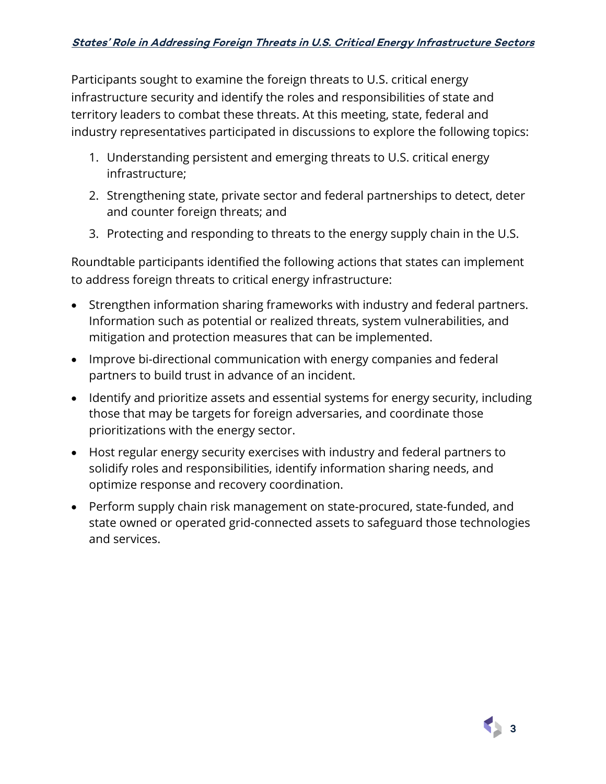Participants sought to examine the foreign threats to U.S. critical energy infrastructure security and identify the roles and responsibilities of state and territory leaders to combat these threats. At this meeting, state, federal and industry representatives participated in discussions to explore the following topics:

- 1. Understanding persistent and emerging threats to U.S. critical energy infrastructure;
- 2. Strengthening state, private sector and federal partnerships to detect, deter and counter foreign threats; and
- 3. Protecting and responding to threats to the energy supply chain in the U.S.

Roundtable participants identified the following actions that states can implement to address foreign threats to critical energy infrastructure:

- Strengthen information sharing frameworks with industry and federal partners. Information such as potential or realized threats, system vulnerabilities, and mitigation and protection measures that can be implemented.
- Improve bi-directional communication with energy companies and federal partners to build trust in advance of an incident.
- Identify and prioritize assets and essential systems for energy security, including those that may be targets for foreign adversaries, and coordinate those prioritizations with the energy sector.
- Host regular energy security exercises with industry and federal partners to solidify roles and responsibilities, identify information sharing needs, and optimize response and recovery coordination.
- Perform supply chain risk management on state-procured, state-funded, and state owned or operated grid-connected assets to safeguard those technologies and services.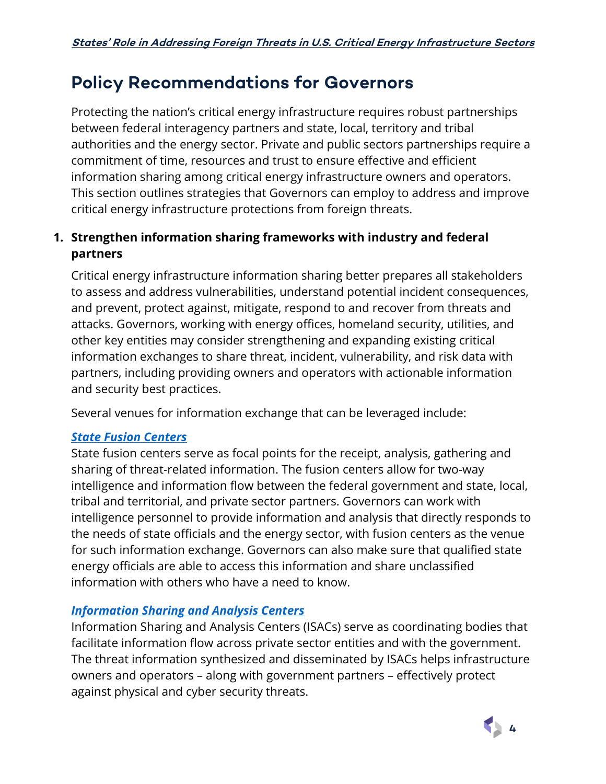## **Policy Recommendations for Governors**

Protecting the nation's critical energy infrastructure requires robust partnerships between federal interagency partners and state, local, territory and tribal authorities and the energy sector. Private and public sectors partnerships require a commitment of time, resources and trust to ensure effective and efficient information sharing among critical energy infrastructure owners and operators. This section outlines strategies that Governors can employ to address and improve critical energy infrastructure protections from foreign threats.

#### **1. Strengthen information sharing frameworks with industry and federal partners**

Critical energy infrastructure information sharing better prepares all stakeholders to assess and address vulnerabilities, understand potential incident consequences, and prevent, protect against, mitigate, respond to and recover from threats and attacks. Governors, working with energy offices, homeland security, utilities, and other key entities may consider strengthening and expanding existing critical information exchanges to share threat, incident, vulnerability, and risk data with partners, including providing owners and operators with actionable information and security best practices.

Several venues for information exchange that can be leveraged include:

#### *State [Fusion Centers](https://www.dhs.gov/fusion-center-locations-and-contact-information)*

State fusion centers serve as focal points for the receipt, analysis, gathering and sharing of threat-related information. The fusion centers allow for two-way intelligence and information flow between the federal government and state, local, tribal and territorial, and private sector partners. Governors can work with intelligence personnel to provide information and analysis that directly responds to the needs of state officials and the energy sector, with fusion centers as the venue for such information exchange. Governors can also make sure that qualified state energy officials are able to access this information and share unclassified information with others who have a need to know.

#### *[Information Sharing and Analysis Centers](https://www.nationalisacs.org/member-isacs-3)*

Information Sharing and Analysis Centers (ISACs) serve as coordinating bodies that facilitate information flow across private sector entities and with the government. The threat information synthesized and disseminated by ISACs helps infrastructure owners and operators – along with government partners – effectively protect against physical and cyber security threats.

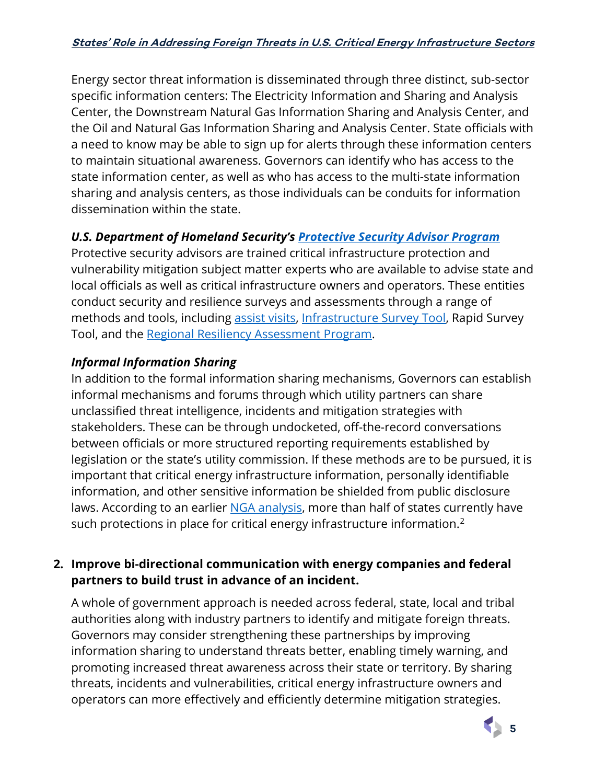Energy sector threat information is disseminated through three distinct, sub-sector specific information centers: The Electricity Information and Sharing and Analysis Center, the Downstream Natural Gas Information Sharing and Analysis Center, and the Oil and Natural Gas Information Sharing and Analysis Center. State officials with a need to know may be able to sign up for alerts through these information centers to maintain situational awareness. Governors can identify who has access to the state information center, as well as who has access to the multi-state information sharing and analysis centers, as those individuals can be conduits for information dissemination within the state.

#### *U.S. Department of Homeland Security's [Protective Security Advisor Program](https://www.cisa.gov/protective-security-advisors)*

Protective security advisors are trained critical infrastructure protection and vulnerability mitigation subject matter experts who are available to advise state and local officials as well as critical infrastructure owners and operators. These entities conduct security and resilience surveys and assessments through a range of methods and tools, including [assist visits,](https://www.cisa.gov/assist-visits) [Infrastructure Survey Tool,](https://www.cisa.gov/infrastructure-survey-tool) Rapid Survey Tool, and the [Regional Resiliency Assessment Program.](https://www.cisa.gov/regional-resiliency-assessment-program)

#### *Informal Information Sharing*

In addition to the formal information sharing mechanisms, Governors can establish informal mechanisms and forums through which utility partners can share unclassified threat intelligence, incidents and mitigation strategies with stakeholders. These can be through undocketed, off-the-record conversations between officials or more structured reporting requirements established by legislation or the state's utility commission. If these methods are to be pursued, it is important that critical energy infrastructure information, personally identifiable information, and other sensitive information be shielded from public disclosure laws. According to an earlier NGA analysis, more than half of states currently have such protections in place for critical energy infrastructure information. $^{\text{2}}$  $^{\text{2}}$  $^{\text{2}}$ 

#### **2. Improve bi-directional communication with energy companies and federal partners to build trust in advance of an incident.**

A whole of government approach is needed across federal, state, local and tribal authorities along with industry partners to identify and mitigate foreign threats. Governors may consider strengthening these partnerships by improving information sharing to understand threats better, enabling timely warning, and promoting increased threat awareness across their state or territory. By sharing threats, incidents and vulnerabilities, critical energy infrastructure owners and operators can more effectively and efficiently determine mitigation strategies.

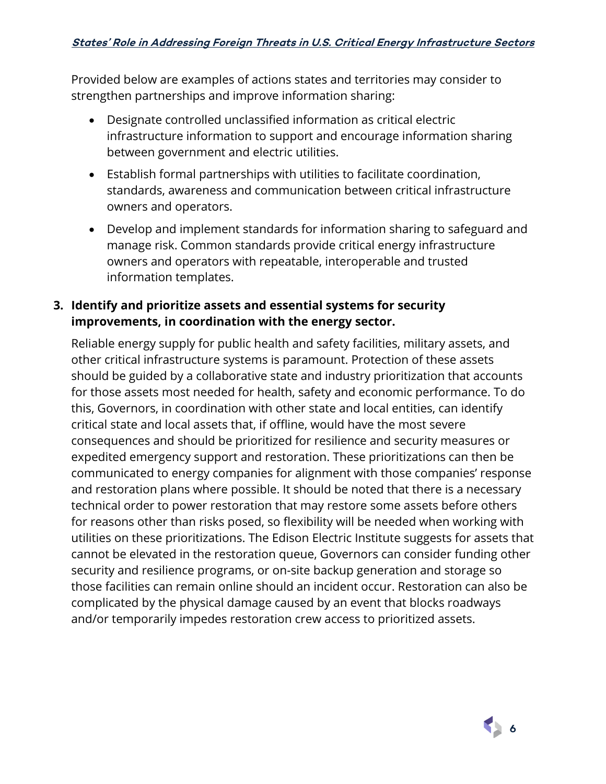Provided below are examples of actions states and territories may consider to strengthen partnerships and improve information sharing:

- Designate controlled unclassified information as critical electric infrastructure information to support and encourage information sharing between government and electric utilities.
- Establish formal partnerships with utilities to facilitate coordination, standards, awareness and communication between critical infrastructure owners and operators.
- Develop and implement standards for information sharing to safeguard and manage risk. Common standards provide critical energy infrastructure owners and operators with repeatable, interoperable and trusted information templates.

#### **3. Identify and prioritize assets and essential systems for security improvements, in coordination with the energy sector.**

Reliable energy supply for public health and safety facilities, military assets, and other critical infrastructure systems is paramount. Protection of these assets should be guided by a collaborative state and industry prioritization that accounts for those assets most needed for health, safety and economic performance. To do this, Governors, in coordination with other state and local entities, can identify critical state and local assets that, if offline, would have the most severe consequences and should be prioritized for resilience and security measures or expedited emergency support and restoration. These prioritizations can then be communicated to energy companies for alignment with those companies' response and restoration plans where possible. It should be noted that there is a necessary technical order to power restoration that may restore some assets before others for reasons other than risks posed, so flexibility will be needed when working with utilities on these prioritizations. The Edison Electric Institute suggests for assets that cannot be elevated in the restoration queue, Governors can consider funding other security and resilience programs, or on-site backup generation and storage so those facilities can remain online should an incident occur. Restoration can also be complicated by the physical damage caused by an event that blocks roadways and/or temporarily impedes restoration crew access to prioritized assets.

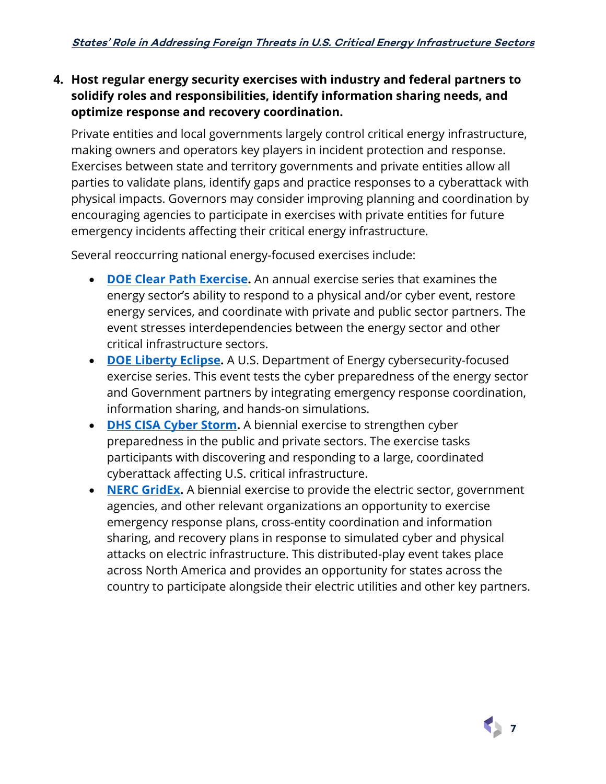#### **4. Host regular energy security exercises with industry and federal partners to solidify roles and responsibilities, identify information sharing needs, and optimize response and recovery coordination.**

Private entities and local governments largely control critical energy infrastructure, making owners and operators key players in incident protection and response. Exercises between state and territory governments and private entities allow all parties to validate plans, identify gaps and practice responses to a cyberattack with physical impacts. Governors may consider improving planning and coordination by encouraging agencies to participate in exercises with private entities for future emergency incidents affecting their critical energy infrastructure.

Several reoccurring national energy-focused exercises include:

- **[DOE Clear Path Exercise.](https://www.energy.gov/ceser/exercises-and-training)** An annual exercise series that examines the energy sector's ability to respond to a physical and/or cyber event, restore energy services, and coordinate with private and public sector partners. The event stresses interdependencies between the energy sector and other critical infrastructure sectors.
- **[DOE Liberty Eclipse.](https://www.energy.gov/ceser/exercises-and-training)** A U.S. Department of Energy cybersecurity-focused exercise series. This event tests the cyber preparedness of the energy sector and Government partners by integrating emergency response coordination, information sharing, and hands-on simulations.
- **[DHS CISA Cyber Storm.](https://www.cisa.gov/cyber-storm-vi)** A biennial exercise to strengthen cyber preparedness in the public and private sectors. The exercise tasks participants with discovering and responding to a large, coordinated cyberattack affecting U.S. critical infrastructure.
- **[NERC GridEx.](https://www.nerc.com/pa/CI/ESISAC/Pages/GridEx.aspx)** A biennial exercise to provide the electric sector, government agencies, and other relevant organizations an opportunity to exercise emergency response plans, cross-entity coordination and information sharing, and recovery plans in response to simulated cyber and physical attacks on electric infrastructure. This distributed-play event takes place across North America and provides an opportunity for states across the country to participate alongside their electric utilities and other key partners.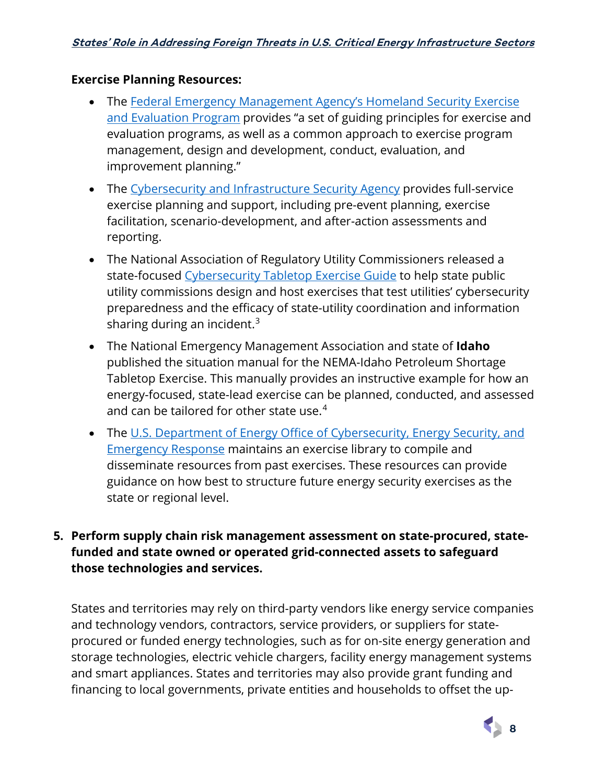#### **Exercise Planning Resources:**

- The Federal Emergency Management Agency's Homeland Security Exercise [and Evaluation Program](https://www.fema.gov/emergency-managers/national-preparedness/exercises/hseep) provides "a set of guiding principles for exercise and evaluation programs, as well as a common approach to exercise program management, design and development, conduct, evaluation, and improvement planning."
- The [Cybersecurity and Infrastructure Security Agency](https://www.cisa.gov/critical-infrastructure-exercises) provides full-service exercise planning and support, including pre-event planning, exercise facilitation, scenario-development, and after-action assessments and reporting.
- The National Association of Regulatory Utility Commissioners released a state-focused [Cybersecurity Tabletop Exercise Guide](https://pubs.naruc.org/pub/615A021F-155D-0A36-314F-0368978CC504) to help state public utility commissions design and host exercises that test utilities' cybersecurity preparedness and the efficacy of state-utility coordination and information sharing during an incident.<sup>[3](#page-10-2)</sup>
- The National Emergency Management Association and state of **Idaho** published the situation manual for the NEMA-Idaho Petroleum Shortage Tabletop Exercise. This manually provides an instructive example for how an energy-focused, state-lead exercise can be planned, conducted, and assessed and can be tailored for other state use. $4$
- The U.S. Department of Energy Office of Cybersecurity, Energy Security, and [Emergency Response](https://www.energy.gov/ceser/ceser-exercise-library) maintains an exercise library to compile and disseminate resources from past exercises. These resources can provide guidance on how best to structure future energy security exercises as the state or regional level.

#### **5. Perform supply chain risk management assessment on state-procured, statefunded and state owned or operated grid-connected assets to safeguard those technologies and services.**

States and territories may rely on third-party vendors like energy service companies and technology vendors, contractors, service providers, or suppliers for stateprocured or funded energy technologies, such as for on-site energy generation and storage technologies, electric vehicle chargers, facility energy management systems and smart appliances. States and territories may also provide grant funding and financing to local governments, private entities and households to offset the up-

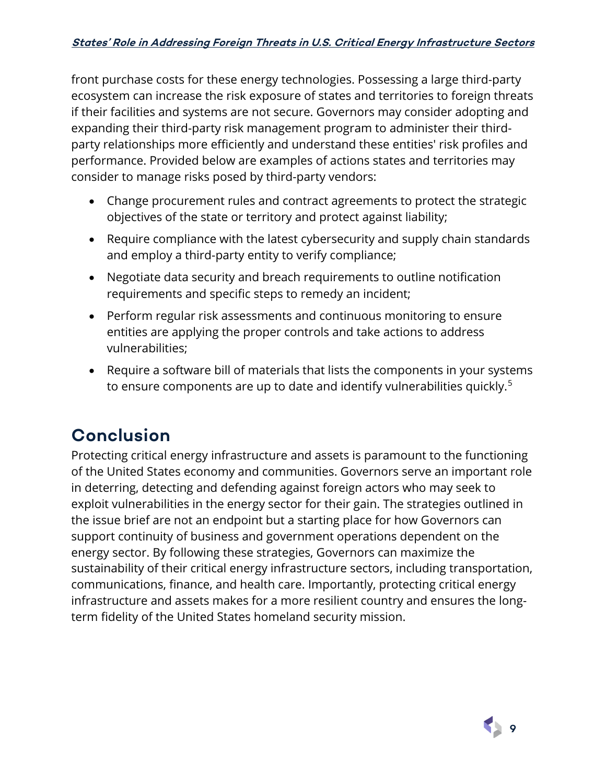front purchase costs for these energy technologies. Possessing a large third-party ecosystem can increase the risk exposure of states and territories to foreign threats if their facilities and systems are not secure. Governors may consider adopting and expanding their third-party risk management program to administer their thirdparty relationships more efficiently and understand these entities' risk profiles and performance. Provided below are examples of actions states and territories may consider to manage risks posed by third-party vendors:

- Change procurement rules and contract agreements to protect the strategic objectives of the state or territory and protect against liability;
- Require compliance with the latest cybersecurity and supply chain standards and employ a third-party entity to verify compliance;
- Negotiate data security and breach requirements to outline notification requirements and specific steps to remedy an incident;
- Perform regular risk assessments and continuous monitoring to ensure entities are applying the proper controls and take actions to address vulnerabilities;
- Require a software bill of materials that lists the components in your systems to ensure components are up to date and identify vulnerabilities quickly.<sup>[5](#page-10-4)</sup>

## **Conclusion**

Protecting critical energy infrastructure and assets is paramount to the functioning of the United States economy and communities. Governors serve an important role in deterring, detecting and defending against foreign actors who may seek to exploit vulnerabilities in the energy sector for their gain. The strategies outlined in the issue brief are not an endpoint but a starting place for how Governors can support continuity of business and government operations dependent on the energy sector. By following these strategies, Governors can maximize the sustainability of their critical energy infrastructure sectors, including transportation, communications, finance, and health care. Importantly, protecting critical energy infrastructure and assets makes for a more resilient country and ensures the longterm fidelity of the United States homeland security mission.

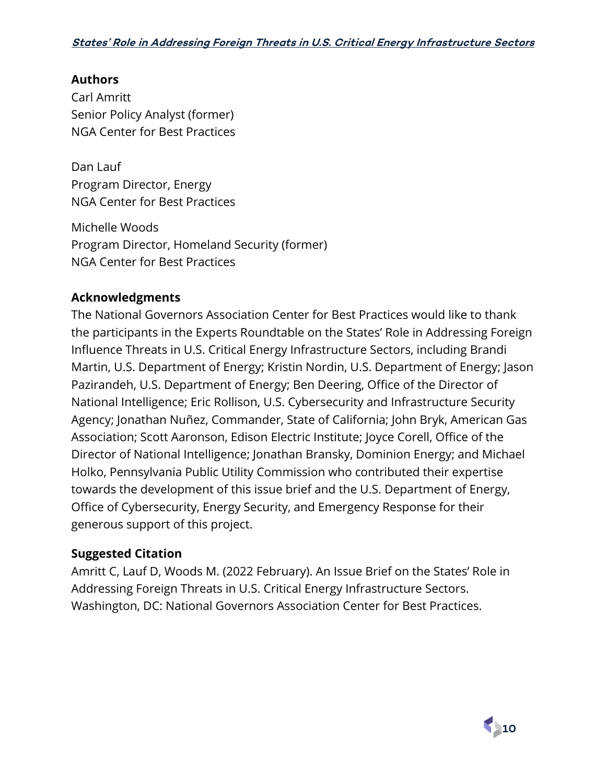#### **Authors**

Carl Amritt Senior Policy Analyst (former) NGA Center for Best Practices

Dan Lauf Program Director, Energy NGA Center for Best Practices

Michelle Woods Program Director, Homeland Security (former) NGA Center for Best Practices

#### **Acknowledgments**

The National Governors Association Center for Best Practices would like to thank the participants in the Experts Roundtable on the States' Role in Addressing Foreign Influence Threats in U.S. Critical Energy Infrastructure Sectors, including Brandi Martin, U.S. Department of Energy; Kristin Nordin, U.S. Department of Energy; Jason Pazirandeh, U.S. Department of Energy; Ben Deering, Office of the Director of National Intelligence; Eric Rollison, U.S. Cybersecurity and Infrastructure Security Agency; Jonathan Nuñez, Commander, State of California; John Bryk, American Gas Association; Scott Aaronson, Edison Electric Institute; Joyce Corell, Office of the Director of National Intelligence; Jonathan Bransky, Dominion Energy; and Michael Holko, Pennsylvania Public Utility Commission who contributed their expertise towards the development of this issue brief and the U.S. Department of Energy, Office of Cybersecurity, Energy Security, and Emergency Response for their generous support of this project.

#### **Suggested Citation**

Amritt C, Lauf D, Woods M. (2022 February). An Issue Brief on the States' Role in Addressing Foreign Threats in U.S. Critical Energy Infrastructure Sectors. Washington, DC: National Governors Association Center for Best Practices.